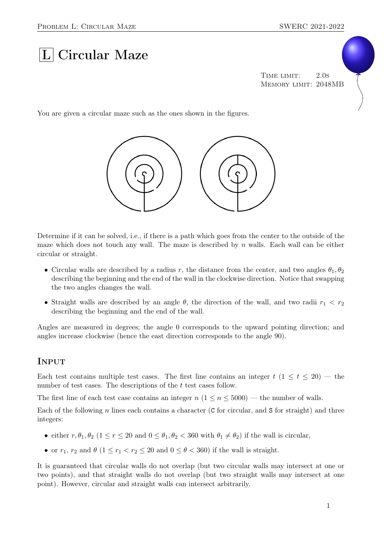# $|L|$  Circular Maze

TIME LIMIT: 2.0s Memory limit: 2048MB

You are given a circular maze such as the ones shown in the figures.



Determine if it can be solved, i.e., if there is a path which goes from the center to the outside of the maze which does not touch any wall. The maze is described by  $n$  walls. Each wall can be either circular or straight.

- Circular walls are described by a radius r, the distance from the center, and two angles  $\theta_1, \theta_2$ describing the beginning and the end of the wall in the clockwise direction. Notice that swapping the two angles changes the wall.
- Straight walls are described by an angle  $\theta$ , the direction of the wall, and two radii  $r_1 < r_2$ describing the beginning and the end of the wall.

Angles are measured in degrees; the angle 0 corresponds to the upward pointing direction; and angles increase clockwise (hence the east direction corresponds to the angle 90).

#### **INPUT**

Each test contains multiple test cases. The first line contains an integer  $t$  (1  $\leq t \leq 20$ ) — the number of test cases. The descriptions of the t test cases follow.

The first line of each test case contains an integer  $n (1 \le n \le 5000)$  — the number of walls.

Each of the following n lines each contains a character (C for circular, and S for straight) and three integers:

- either  $r, \theta_1, \theta_2$  ( $1 \le r \le 20$  and  $0 \le \theta_1, \theta_2 \le 360$  with  $\theta_1 \ne \theta_2$ ) if the wall is circular,
- or  $r_1$ ,  $r_2$  and  $\theta$  ( $1 \leq r_1 < r_2 \leq 20$  and  $0 \leq \theta < 360$ ) if the wall is straight.

It is guaranteed that circular walls do not overlap (but two circular walls may intersect at one or two points), and that straight walls do not overlap (but two straight walls may intersect at one point). However, circular and straight walls can intersect arbitrarily.